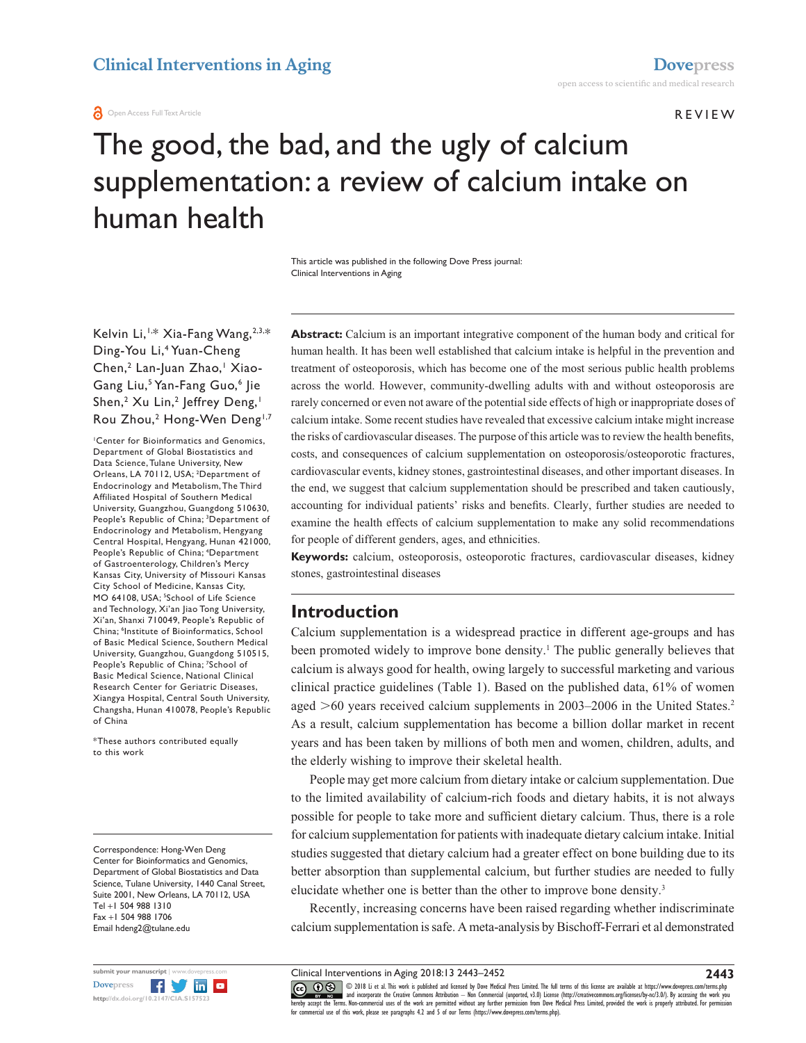#### **a** Open Access Full Text Article

#### **REVIEW**

# The good, the bad, and the ugly of calcium supplementation: a review of calcium intake on human health

This article was published in the following Dove Press journal: Clinical Interventions in Aging

Kelvin Li,<sup>1,\*</sup> Xia-Fang Wang,<sup>2,3,\*</sup> Ding-You Li,<sup>4</sup> Yuan-Cheng Chen,<sup>2</sup> Lan-Juan Zhao,<sup>1</sup> Xiao-Gang Liu,<sup>5</sup> Yan-Fang Guo,<sup>6</sup> Jie Shen,<sup>2</sup> Xu Lin,<sup>2</sup> Jeffrey Deng,' Rou Zhou,<sup>2</sup> Hong-Wen Deng<sup>1,7</sup>

1 Center for Bioinformatics and Genomics, Department of Global Biostatistics and Data Science, Tulane University, New Orleans, LA 70112, USA; <sup>2</sup>Department of Endocrinology and Metabolism, The Third Affiliated Hospital of Southern Medical University, Guangzhou, Guangdong 510630, People's Republic of China; <sup>3</sup>Department of Endocrinology and Metabolism, Hengyang Central Hospital, Hengyang, Hunan 421000, People's Republic of China; <sup>4</sup>Department of Gastroenterology, Children's Mercy Kansas City, University of Missouri Kansas City School of Medicine, Kansas City, MO 64108, USA; <sup>5</sup>School of Life Science and Technology, Xi'an Jiao Tong University, Xi'an, Shanxi 710049, People's Republic of China; <sup>6</sup>Institute of Bioinformatics, School of Basic Medical Science, Southern Medical University, Guangzhou, Guangdong 510515, People's Republic of China; <sup>7</sup>School of Basic Medical Science, National Clinical Research Center for Geriatric Diseases, Xiangya Hospital, Central South University, Changsha, Hunan 410078, People's Republic of China

\*These authors contributed equally to this work

Correspondence: Hong-Wen Deng Center for Bioinformatics and Genomics, Department of Global Biostatistics and Data Science, Tulane University, 1440 Canal Street, Suite 2001, New Orleans, LA 70112, USA Tel +1 504 988 1310 Fax +1 504 988 1706 Email [hdeng2@tulane.edu](mailto:hdeng2@tulane.edu)



**Abstract:** Calcium is an important integrative component of the human body and critical for human health. It has been well established that calcium intake is helpful in the prevention and treatment of osteoporosis, which has become one of the most serious public health problems across the world. However, community-dwelling adults with and without osteoporosis are rarely concerned or even not aware of the potential side effects of high or inappropriate doses of calcium intake. Some recent studies have revealed that excessive calcium intake might increase the risks of cardiovascular diseases. The purpose of this article was to review the health benefits, costs, and consequences of calcium supplementation on osteoporosis/osteoporotic fractures, cardiovascular events, kidney stones, gastrointestinal diseases, and other important diseases. In the end, we suggest that calcium supplementation should be prescribed and taken cautiously, accounting for individual patients' risks and benefits. Clearly, further studies are needed to examine the health effects of calcium supplementation to make any solid recommendations for people of different genders, ages, and ethnicities.

**Keywords:** calcium, osteoporosis, osteoporotic fractures, cardiovascular diseases, kidney stones, gastrointestinal diseases

#### **Introduction**

Calcium supplementation is a widespread practice in different age-groups and has been promoted widely to improve bone density.<sup>1</sup> The public generally believes that calcium is always good for health, owing largely to successful marketing and various clinical practice guidelines (Table 1). Based on the published data, 61% of women aged  $>60$  years received calcium supplements in 2003–2006 in the United States.<sup>2</sup> As a result, calcium supplementation has become a billion dollar market in recent years and has been taken by millions of both men and women, children, adults, and the elderly wishing to improve their skeletal health.

People may get more calcium from dietary intake or calcium supplementation. Due to the limited availability of calcium-rich foods and dietary habits, it is not always possible for people to take more and sufficient dietary calcium. Thus, there is a role for calcium supplementation for patients with inadequate dietary calcium intake. Initial studies suggested that dietary calcium had a greater effect on bone building due to its better absorption than supplemental calcium, but further studies are needed to fully elucidate whether one is better than the other to improve bone density.3

Recently, increasing concerns have been raised regarding whether indiscriminate calcium supplementation is safe. A meta-analysis by Bischoff-Ferrari et al demonstrated

Clinical Interventions in Aging 2018:13 2443–2452

CCC 1 © 2018 Li et al. This work is published and licensed by Dove Medical Press Limited. The full terms of this license are available at<https://www.dovepress.com/terms.php><br>[hereby accept the Terms](http://www.dovepress.com/permissions.php). Non-commercial uses of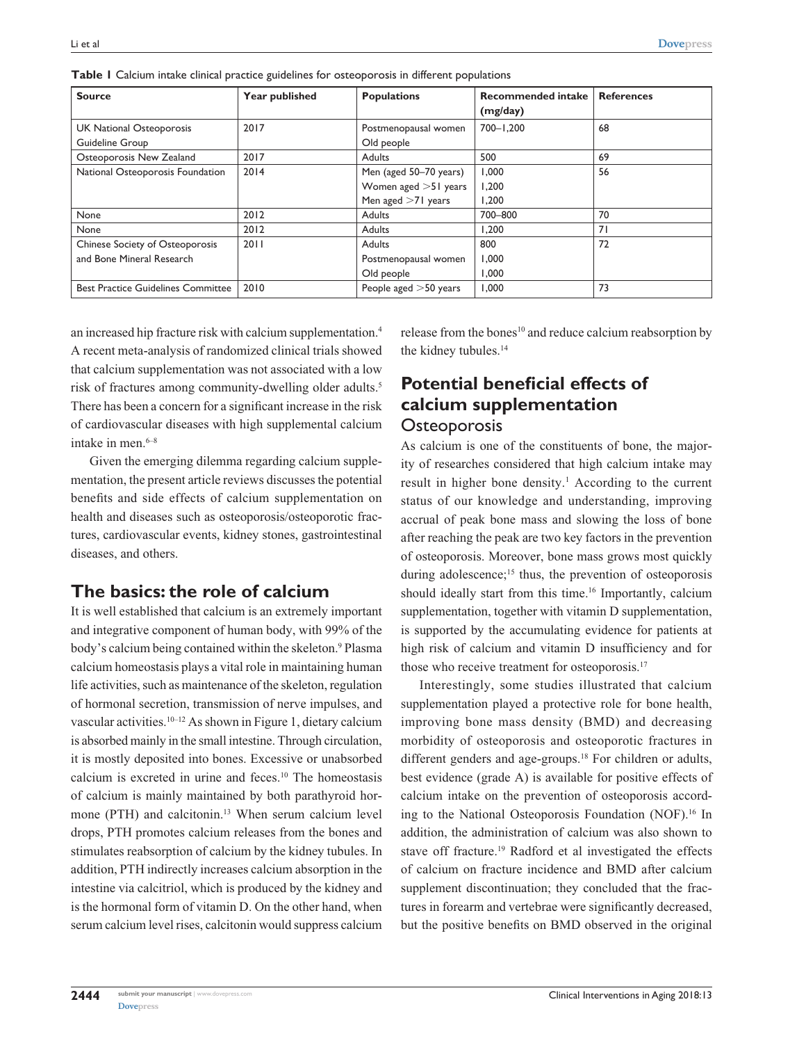| <b>Source</b>                             | Year published | <b>Populations</b>      | <b>Recommended intake</b> | <b>References</b> |
|-------------------------------------------|----------------|-------------------------|---------------------------|-------------------|
|                                           |                |                         | (mg/day)                  |                   |
| <b>UK National Osteoporosis</b>           | 2017           | Postmenopausal women    | 700-1.200                 | 68                |
| Guideline Group                           |                | Old people              |                           |                   |
| Osteoporosis New Zealand                  | 2017           | <b>Adults</b>           | 500                       | 69                |
| National Osteoporosis Foundation          | 2014           | Men (aged 50-70 years)  | 1.000                     | 56                |
|                                           |                | Women aged $>51$ years  | 1.200                     |                   |
|                                           |                | Men aged $>71$ years    | 1.200                     |                   |
| None                                      | 2012           | Adults                  | 700-800                   | 70                |
| None                                      | 2012           | Adults                  | 1.200                     | 71                |
| Chinese Society of Osteoporosis           | 2011           | <b>Adults</b>           | 800                       | 72                |
| and Bone Mineral Research                 |                | Postmenopausal women    | 1,000                     |                   |
|                                           |                | Old people              | 1.000                     |                   |
| <b>Best Practice Guidelines Committee</b> | 2010           | People aged $>50$ years | 1.000                     | 73                |

**Table 1** Calcium intake clinical practice guidelines for osteoporosis in different populations

an increased hip fracture risk with calcium supplementation.4 A recent meta-analysis of randomized clinical trials showed that calcium supplementation was not associated with a low risk of fractures among community-dwelling older adults.<sup>5</sup> There has been a concern for a significant increase in the risk of cardiovascular diseases with high supplemental calcium intake in men. $6-8$ 

Given the emerging dilemma regarding calcium supplementation, the present article reviews discusses the potential benefits and side effects of calcium supplementation on health and diseases such as osteoporosis/osteoporotic fractures, cardiovascular events, kidney stones, gastrointestinal diseases, and others.

# **The basics: the role of calcium**

It is well established that calcium is an extremely important and integrative component of human body, with 99% of the body's calcium being contained within the skeleton.<sup>9</sup> Plasma calcium homeostasis plays a vital role in maintaining human life activities, such as maintenance of the skeleton, regulation of hormonal secretion, transmission of nerve impulses, and vascular activities.10–12 As shown in Figure 1, dietary calcium is absorbed mainly in the small intestine. Through circulation, it is mostly deposited into bones. Excessive or unabsorbed calcium is excreted in urine and feces.10 The homeostasis of calcium is mainly maintained by both parathyroid hormone (PTH) and calcitonin.<sup>13</sup> When serum calcium level drops, PTH promotes calcium releases from the bones and stimulates reabsorption of calcium by the kidney tubules. In addition, PTH indirectly increases calcium absorption in the intestine via calcitriol, which is produced by the kidney and is the hormonal form of vitamin D. On the other hand, when serum calcium level rises, calcitonin would suppress calcium

release from the bones<sup>10</sup> and reduce calcium reabsorption by the kidney tubules.<sup>14</sup>

# **Potential beneficial effects of calcium supplementation Osteoporosis**

As calcium is one of the constituents of bone, the majority of researches considered that high calcium intake may result in higher bone density.<sup>1</sup> According to the current status of our knowledge and understanding, improving accrual of peak bone mass and slowing the loss of bone after reaching the peak are two key factors in the prevention of osteoporosis. Moreover, bone mass grows most quickly during adolescence;<sup>15</sup> thus, the prevention of osteoporosis should ideally start from this time.<sup>16</sup> Importantly, calcium supplementation, together with vitamin D supplementation, is supported by the accumulating evidence for patients at high risk of calcium and vitamin D insufficiency and for those who receive treatment for osteoporosis.<sup>17</sup>

Interestingly, some studies illustrated that calcium supplementation played a protective role for bone health, improving bone mass density (BMD) and decreasing morbidity of osteoporosis and osteoporotic fractures in different genders and age-groups.<sup>18</sup> For children or adults, best evidence (grade A) is available for positive effects of calcium intake on the prevention of osteoporosis according to the National Osteoporosis Foundation (NOF).<sup>16</sup> In addition, the administration of calcium was also shown to stave off fracture.19 Radford et al investigated the effects of calcium on fracture incidence and BMD after calcium supplement discontinuation; they concluded that the fractures in forearm and vertebrae were significantly decreased, but the positive benefits on BMD observed in the original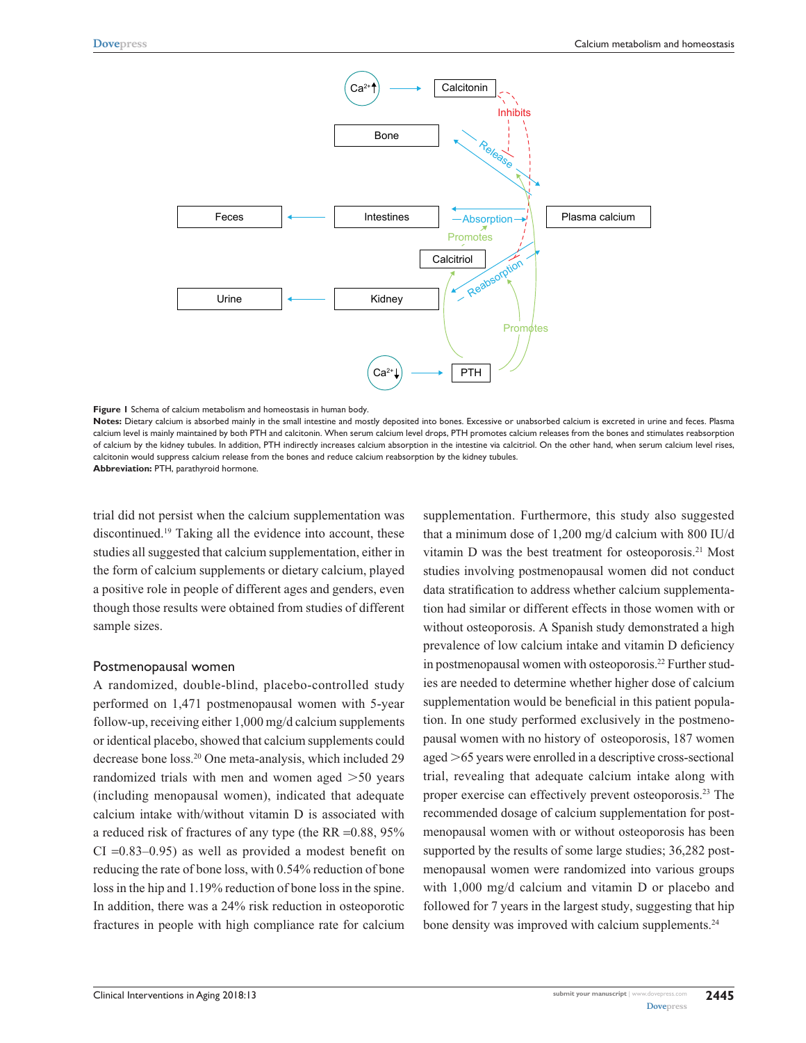

**Figure 1** Schema of calcium metabolism and homeostasis in human body.

**Notes:** Dietary calcium is absorbed mainly in the small intestine and mostly deposited into bones. Excessive or unabsorbed calcium is excreted in urine and feces. Plasma calcium level is mainly maintained by both PTH and calcitonin. When serum calcium level drops, PTH promotes calcium releases from the bones and stimulates reabsorption of calcium by the kidney tubules. In addition, PTH indirectly increases calcium absorption in the intestine via calcitriol. On the other hand, when serum calcium level rises, calcitonin would suppress calcium release from the bones and reduce calcium reabsorption by the kidney tubules. **Abbreviation:** PTH, parathyroid hormone.

trial did not persist when the calcium supplementation was discontinued.19 Taking all the evidence into account, these studies all suggested that calcium supplementation, either in the form of calcium supplements or dietary calcium, played a positive role in people of different ages and genders, even though those results were obtained from studies of different sample sizes.

#### Postmenopausal women

A randomized, double-blind, placebo-controlled study performed on 1,471 postmenopausal women with 5-year follow-up, receiving either 1,000 mg/d calcium supplements or identical placebo, showed that calcium supplements could decrease bone loss.20 One meta-analysis, which included 29 randomized trials with men and women aged  $>50$  years (including menopausal women), indicated that adequate calcium intake with/without vitamin D is associated with a reduced risk of fractures of any type (the RR =0.88, 95%  $CI = 0.83 - 0.95$  as well as provided a modest benefit on reducing the rate of bone loss, with 0.54% reduction of bone loss in the hip and 1.19% reduction of bone loss in the spine. In addition, there was a 24% risk reduction in osteoporotic fractures in people with high compliance rate for calcium supplementation. Furthermore, this study also suggested that a minimum dose of 1,200 mg/d calcium with 800 IU/d vitamin D was the best treatment for osteoporosis.<sup>21</sup> Most studies involving postmenopausal women did not conduct data stratification to address whether calcium supplementation had similar or different effects in those women with or without osteoporosis. A Spanish study demonstrated a high prevalence of low calcium intake and vitamin D deficiency in postmenopausal women with osteoporosis.<sup>22</sup> Further studies are needed to determine whether higher dose of calcium supplementation would be beneficial in this patient population. In one study performed exclusively in the postmenopausal women with no history of osteoporosis, 187 women aged >65 years were enrolled in a descriptive cross-sectional trial, revealing that adequate calcium intake along with proper exercise can effectively prevent osteoporosis.23 The recommended dosage of calcium supplementation for postmenopausal women with or without osteoporosis has been supported by the results of some large studies; 36,282 postmenopausal women were randomized into various groups with 1,000 mg/d calcium and vitamin D or placebo and followed for 7 years in the largest study, suggesting that hip bone density was improved with calcium supplements.<sup>24</sup>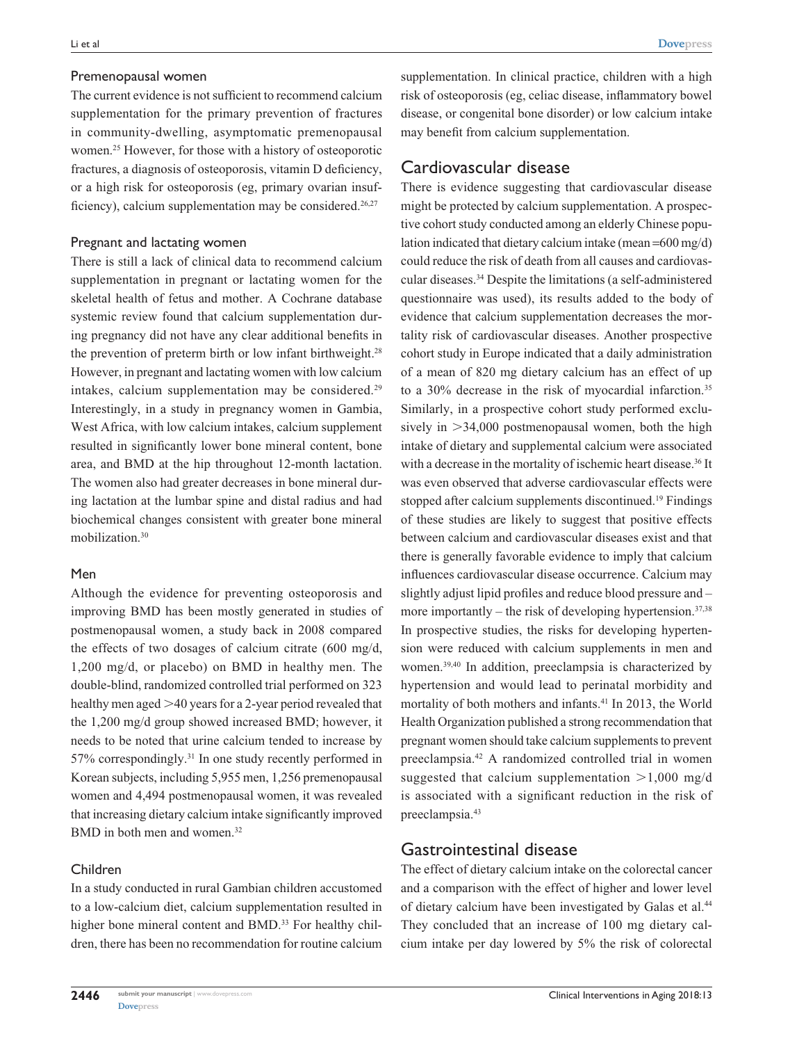#### Premenopausal women

The current evidence is not sufficient to recommend calcium supplementation for the primary prevention of fractures in community-dwelling, asymptomatic premenopausal women.25 However, for those with a history of osteoporotic fractures, a diagnosis of osteoporosis, vitamin D deficiency, or a high risk for osteoporosis (eg, primary ovarian insufficiency), calcium supplementation may be considered.<sup>26,27</sup>

#### Pregnant and lactating women

There is still a lack of clinical data to recommend calcium supplementation in pregnant or lactating women for the skeletal health of fetus and mother. A Cochrane database systemic review found that calcium supplementation during pregnancy did not have any clear additional benefits in the prevention of preterm birth or low infant birthweight.<sup>28</sup> However, in pregnant and lactating women with low calcium intakes, calcium supplementation may be considered.<sup>29</sup> Interestingly, in a study in pregnancy women in Gambia, West Africa, with low calcium intakes, calcium supplement resulted in significantly lower bone mineral content, bone area, and BMD at the hip throughout 12-month lactation. The women also had greater decreases in bone mineral during lactation at the lumbar spine and distal radius and had biochemical changes consistent with greater bone mineral mobilization.30

#### Men

Although the evidence for preventing osteoporosis and improving BMD has been mostly generated in studies of postmenopausal women, a study back in 2008 compared the effects of two dosages of calcium citrate (600 mg/d, 1,200 mg/d, or placebo) on BMD in healthy men. The double-blind, randomized controlled trial performed on 323 healthy men aged  $>40$  years for a 2-year period revealed that the 1,200 mg/d group showed increased BMD; however, it needs to be noted that urine calcium tended to increase by 57% correspondingly.31 In one study recently performed in Korean subjects, including 5,955 men, 1,256 premenopausal women and 4,494 postmenopausal women, it was revealed that increasing dietary calcium intake significantly improved BMD in both men and women.<sup>32</sup>

#### Children

In a study conducted in rural Gambian children accustomed to a low-calcium diet, calcium supplementation resulted in higher bone mineral content and BMD.<sup>33</sup> For healthy children, there has been no recommendation for routine calcium supplementation. In clinical practice, children with a high risk of osteoporosis (eg, celiac disease, inflammatory bowel disease, or congenital bone disorder) or low calcium intake may benefit from calcium supplementation.

### Cardiovascular disease

There is evidence suggesting that cardiovascular disease might be protected by calcium supplementation. A prospective cohort study conducted among an elderly Chinese population indicated that dietary calcium intake (mean =600 mg/d) could reduce the risk of death from all causes and cardiovascular diseases.34 Despite the limitations (a self-administered questionnaire was used), its results added to the body of evidence that calcium supplementation decreases the mortality risk of cardiovascular diseases. Another prospective cohort study in Europe indicated that a daily administration of a mean of 820 mg dietary calcium has an effect of up to a 30% decrease in the risk of myocardial infarction.<sup>35</sup> Similarly, in a prospective cohort study performed exclusively in  $>$ 34,000 postmenopausal women, both the high intake of dietary and supplemental calcium were associated with a decrease in the mortality of ischemic heart disease.<sup>36</sup> It was even observed that adverse cardiovascular effects were stopped after calcium supplements discontinued.19 Findings of these studies are likely to suggest that positive effects between calcium and cardiovascular diseases exist and that there is generally favorable evidence to imply that calcium influences cardiovascular disease occurrence. Calcium may slightly adjust lipid profiles and reduce blood pressure and – more importantly – the risk of developing hypertension. $37,38$ In prospective studies, the risks for developing hypertension were reduced with calcium supplements in men and women.39,40 In addition, preeclampsia is characterized by hypertension and would lead to perinatal morbidity and mortality of both mothers and infants.41 In 2013, the World Health Organization published a strong recommendation that pregnant women should take calcium supplements to prevent preeclampsia.42 A randomized controlled trial in women suggested that calcium supplementation  $>1,000$  mg/d is associated with a significant reduction in the risk of preeclampsia.43

### Gastrointestinal disease

The effect of dietary calcium intake on the colorectal cancer and a comparison with the effect of higher and lower level of dietary calcium have been investigated by Galas et al.<sup>44</sup> They concluded that an increase of 100 mg dietary calcium intake per day lowered by 5% the risk of colorectal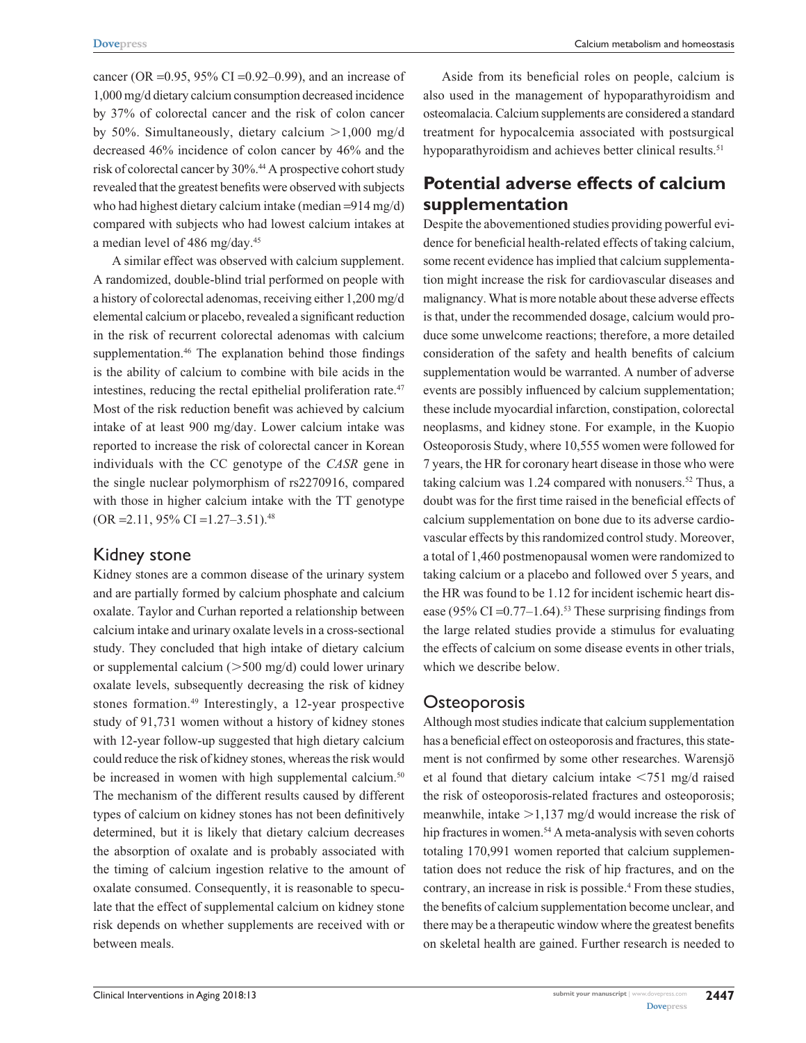cancer (OR =  $0.95$ ,  $95\%$  CI =  $0.92-0.99$ ), and an increase of 1,000 mg/d dietary calcium consumption decreased incidence by 37% of colorectal cancer and the risk of colon cancer by 50%. Simultaneously, dietary calcium  $>1,000$  mg/d decreased 46% incidence of colon cancer by 46% and the risk of colorectal cancer by 30%.<sup>44</sup> A prospective cohort study revealed that the greatest benefits were observed with subjects who had highest dietary calcium intake (median =914 mg/d) compared with subjects who had lowest calcium intakes at a median level of 486 mg/day.45

A similar effect was observed with calcium supplement. A randomized, double-blind trial performed on people with a history of colorectal adenomas, receiving either 1,200 mg/d elemental calcium or placebo, revealed a significant reduction in the risk of recurrent colorectal adenomas with calcium supplementation.<sup>46</sup> The explanation behind those findings is the ability of calcium to combine with bile acids in the intestines, reducing the rectal epithelial proliferation rate.<sup>47</sup> Most of the risk reduction benefit was achieved by calcium intake of at least 900 mg/day. Lower calcium intake was reported to increase the risk of colorectal cancer in Korean individuals with the CC genotype of the *CASR* gene in the single nuclear polymorphism of rs2270916, compared with those in higher calcium intake with the TT genotype  $(OR = 2.11, 95\% \text{ CI} = 1.27 - 3.51).$ <sup>48</sup>

#### Kidney stone

Kidney stones are a common disease of the urinary system and are partially formed by calcium phosphate and calcium oxalate. Taylor and Curhan reported a relationship between calcium intake and urinary oxalate levels in a cross-sectional study. They concluded that high intake of dietary calcium or supplemental calcium  $(>500 \text{ mg/d})$  could lower urinary oxalate levels, subsequently decreasing the risk of kidney stones formation.49 Interestingly, a 12-year prospective study of 91,731 women without a history of kidney stones with 12-year follow-up suggested that high dietary calcium could reduce the risk of kidney stones, whereas the risk would be increased in women with high supplemental calcium.<sup>50</sup> The mechanism of the different results caused by different types of calcium on kidney stones has not been definitively determined, but it is likely that dietary calcium decreases the absorption of oxalate and is probably associated with the timing of calcium ingestion relative to the amount of oxalate consumed. Consequently, it is reasonable to speculate that the effect of supplemental calcium on kidney stone risk depends on whether supplements are received with or between meals.

Aside from its beneficial roles on people, calcium is also used in the management of hypoparathyroidism and osteomalacia. Calcium supplements are considered a standard treatment for hypocalcemia associated with postsurgical hypoparathyroidism and achieves better clinical results.<sup>51</sup>

# **Potential adverse effects of calcium supplementation**

Despite the abovementioned studies providing powerful evidence for beneficial health-related effects of taking calcium, some recent evidence has implied that calcium supplementation might increase the risk for cardiovascular diseases and malignancy. What is more notable about these adverse effects is that, under the recommended dosage, calcium would produce some unwelcome reactions; therefore, a more detailed consideration of the safety and health benefits of calcium supplementation would be warranted. A number of adverse events are possibly influenced by calcium supplementation; these include myocardial infarction, constipation, colorectal neoplasms, and kidney stone. For example, in the Kuopio Osteoporosis Study, where 10,555 women were followed for 7 years, the HR for coronary heart disease in those who were taking calcium was  $1.24$  compared with nonusers.<sup>52</sup> Thus, a doubt was for the first time raised in the beneficial effects of calcium supplementation on bone due to its adverse cardiovascular effects by this randomized control study. Moreover, a total of 1,460 postmenopausal women were randomized to taking calcium or a placebo and followed over 5 years, and the HR was found to be 1.12 for incident ischemic heart disease (95% CI =  $0.77-1.64$ ).<sup>53</sup> These surprising findings from the large related studies provide a stimulus for evaluating the effects of calcium on some disease events in other trials, which we describe below.

### **Osteoporosis**

Although most studies indicate that calcium supplementation has a beneficial effect on osteoporosis and fractures, this statement is not confirmed by some other researches. Warensjö et al found that dietary calcium intake  $\leq$ 751 mg/d raised the risk of osteoporosis-related fractures and osteoporosis; meanwhile, intake  $>1,137$  mg/d would increase the risk of hip fractures in women.<sup>54</sup> A meta-analysis with seven cohorts totaling 170,991 women reported that calcium supplementation does not reduce the risk of hip fractures, and on the contrary, an increase in risk is possible.<sup>4</sup> From these studies, the benefits of calcium supplementation become unclear, and there may be a therapeutic window where the greatest benefits on skeletal health are gained. Further research is needed to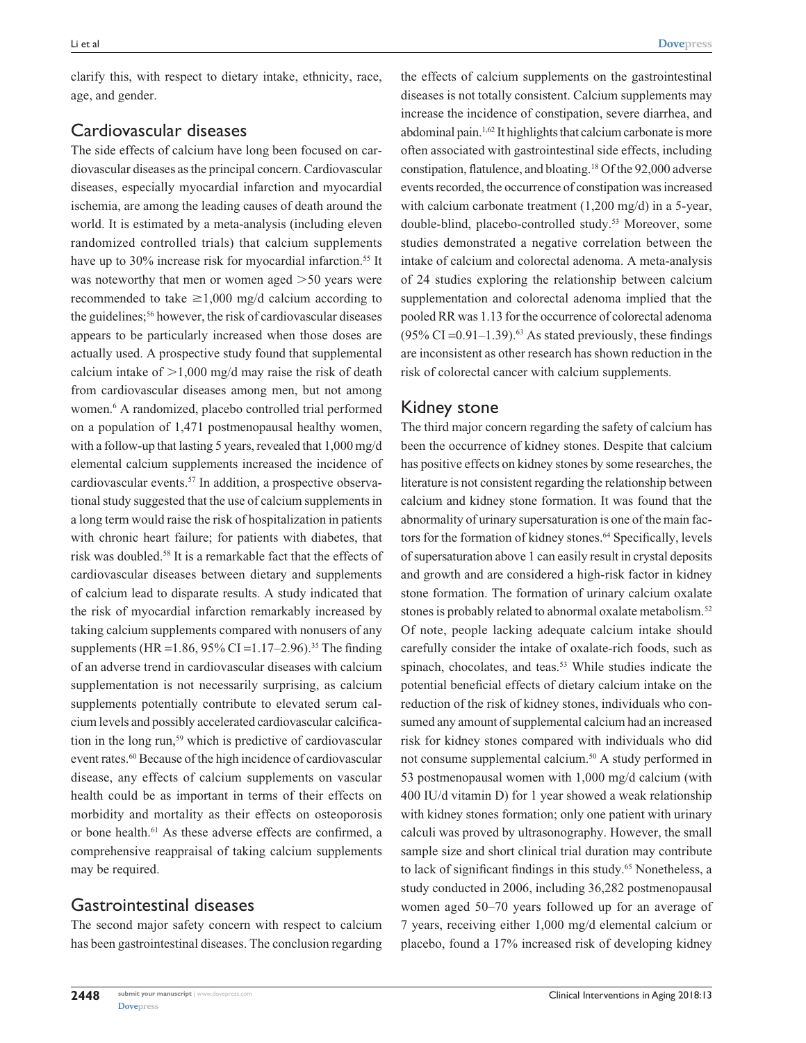clarify this, with respect to dietary intake, ethnicity, race, age, and gender.

### Cardiovascular diseases

The side effects of calcium have long been focused on cardiovascular diseases as the principal concern. Cardiovascular diseases, especially myocardial infarction and myocardial ischemia, are among the leading causes of death around the world. It is estimated by a meta-analysis (including eleven randomized controlled trials) that calcium supplements have up to 30% increase risk for myocardial infarction.<sup>55</sup> It was noteworthy that men or women aged  $>50$  years were recommended to take  $\geq 1,000$  mg/d calcium according to the guidelines;<sup>56</sup> however, the risk of cardiovascular diseases appears to be particularly increased when those doses are actually used. A prospective study found that supplemental calcium intake of  $>1,000$  mg/d may raise the risk of death from cardiovascular diseases among men, but not among women.<sup>6</sup> A randomized, placebo controlled trial performed on a population of 1,471 postmenopausal healthy women, with a follow-up that lasting 5 years, revealed that 1,000 mg/d elemental calcium supplements increased the incidence of cardiovascular events.57 In addition, a prospective observational study suggested that the use of calcium supplements in a long term would raise the risk of hospitalization in patients with chronic heart failure; for patients with diabetes, that risk was doubled.58 It is a remarkable fact that the effects of cardiovascular diseases between dietary and supplements of calcium lead to disparate results. A study indicated that the risk of myocardial infarction remarkably increased by taking calcium supplements compared with nonusers of any supplements (HR = 1.86, 95% CI = 1.17–2.96).<sup>35</sup> The finding of an adverse trend in cardiovascular diseases with calcium supplementation is not necessarily surprising, as calcium supplements potentially contribute to elevated serum calcium levels and possibly accelerated cardiovascular calcification in the long run,<sup>59</sup> which is predictive of cardiovascular event rates.<sup>60</sup> Because of the high incidence of cardiovascular disease, any effects of calcium supplements on vascular health could be as important in terms of their effects on morbidity and mortality as their effects on osteoporosis or bone health.61 As these adverse effects are confirmed, a comprehensive reappraisal of taking calcium supplements may be required.

# Gastrointestinal diseases

The second major safety concern with respect to calcium has been gastrointestinal diseases. The conclusion regarding the effects of calcium supplements on the gastrointestinal diseases is not totally consistent. Calcium supplements may increase the incidence of constipation, severe diarrhea, and abdominal pain.<sup>1,62</sup> It highlights that calcium carbonate is more often associated with gastrointestinal side effects, including constipation, flatulence, and bloating.18 Of the 92,000 adverse events recorded, the occurrence of constipation was increased with calcium carbonate treatment (1,200 mg/d) in a 5-year, double-blind, placebo-controlled study.53 Moreover, some studies demonstrated a negative correlation between the intake of calcium and colorectal adenoma. A meta-analysis of 24 studies exploring the relationship between calcium supplementation and colorectal adenoma implied that the pooled RR was 1.13 for the occurrence of colorectal adenoma  $(95\% \text{ CI} = 0.91 - 1.39)$ .<sup>63</sup> As stated previously, these findings are inconsistent as other research has shown reduction in the risk of colorectal cancer with calcium supplements.

### Kidney stone

The third major concern regarding the safety of calcium has been the occurrence of kidney stones. Despite that calcium has positive effects on kidney stones by some researches, the literature is not consistent regarding the relationship between calcium and kidney stone formation. It was found that the abnormality of urinary supersaturation is one of the main factors for the formation of kidney stones.<sup>64</sup> Specifically, levels of supersaturation above 1 can easily result in crystal deposits and growth and are considered a high-risk factor in kidney stone formation. The formation of urinary calcium oxalate stones is probably related to abnormal oxalate metabolism.<sup>52</sup> Of note, people lacking adequate calcium intake should carefully consider the intake of oxalate-rich foods, such as spinach, chocolates, and teas.<sup>53</sup> While studies indicate the potential beneficial effects of dietary calcium intake on the reduction of the risk of kidney stones, individuals who consumed any amount of supplemental calcium had an increased risk for kidney stones compared with individuals who did not consume supplemental calcium.<sup>50</sup> A study performed in 53 postmenopausal women with 1,000 mg/d calcium (with 400 IU/d vitamin D) for 1 year showed a weak relationship with kidney stones formation; only one patient with urinary calculi was proved by ultrasonography. However, the small sample size and short clinical trial duration may contribute to lack of significant findings in this study.<sup>65</sup> Nonetheless, a study conducted in 2006, including 36,282 postmenopausal women aged 50–70 years followed up for an average of 7 years, receiving either 1,000 mg/d elemental calcium or placebo, found a 17% increased risk of developing kidney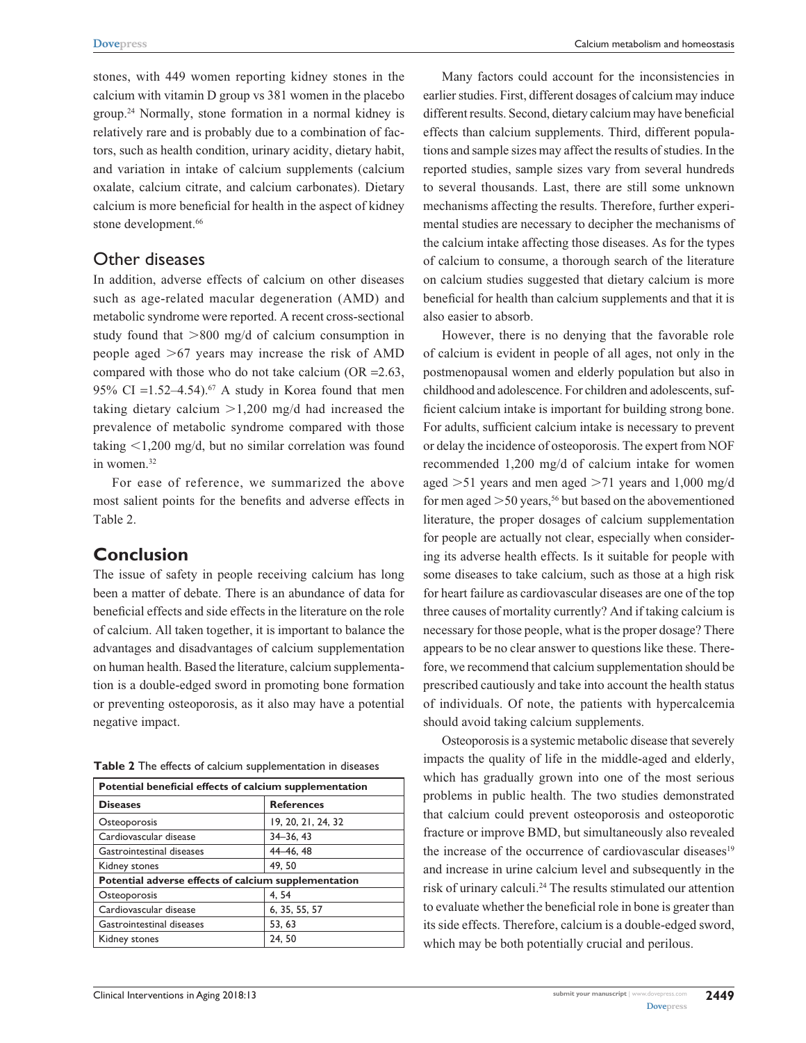stones, with 449 women reporting kidney stones in the calcium with vitamin D group vs 381 women in the placebo group.24 Normally, stone formation in a normal kidney is relatively rare and is probably due to a combination of factors, such as health condition, urinary acidity, dietary habit, and variation in intake of calcium supplements (calcium oxalate, calcium citrate, and calcium carbonates). Dietary calcium is more beneficial for health in the aspect of kidney stone development.<sup>66</sup>

### Other diseases

In addition, adverse effects of calcium on other diseases such as age-related macular degeneration (AMD) and metabolic syndrome were reported. A recent cross-sectional study found that  $>800$  mg/d of calcium consumption in people aged  $>67$  years may increase the risk of AMD compared with those who do not take calcium (OR =2.63, 95% CI = $1.52-4.54$ .<sup>67</sup> A study in Korea found that men taking dietary calcium  $>1,200$  mg/d had increased the prevalence of metabolic syndrome compared with those taking  $\leq 1,200$  mg/d, but no similar correlation was found in women.32

For ease of reference, we summarized the above most salient points for the benefits and adverse effects in Table 2.

# **Conclusion**

The issue of safety in people receiving calcium has long been a matter of debate. There is an abundance of data for beneficial effects and side effects in the literature on the role of calcium. All taken together, it is important to balance the advantages and disadvantages of calcium supplementation on human health. Based the literature, calcium supplementation is a double-edged sword in promoting bone formation or preventing osteoporosis, as it also may have a potential negative impact.

| Table 2 The effects of calcium supplementation in diseases |  |
|------------------------------------------------------------|--|
|------------------------------------------------------------|--|

| Potential beneficial effects of calcium supplementation |                    |  |  |  |
|---------------------------------------------------------|--------------------|--|--|--|
| <b>Diseases</b>                                         | <b>References</b>  |  |  |  |
| Osteoporosis                                            | 19, 20, 21, 24, 32 |  |  |  |
| Cardiovascular disease                                  | $34 - 36, 43$      |  |  |  |
| Gastrointestinal diseases                               | 44-46, 48          |  |  |  |
| Kidney stones                                           | 49, 50             |  |  |  |
| Potential adverse effects of calcium supplementation    |                    |  |  |  |
| Osteoporosis                                            | 4,54               |  |  |  |
| Cardiovascular disease                                  | 6, 35, 55, 57      |  |  |  |
| Gastrointestinal diseases                               | 53, 63             |  |  |  |
| Kidney stones                                           | 24, 50             |  |  |  |

Many factors could account for the inconsistencies in earlier studies. First, different dosages of calcium may induce different results. Second, dietary calcium may have beneficial effects than calcium supplements. Third, different populations and sample sizes may affect the results of studies. In the reported studies, sample sizes vary from several hundreds to several thousands. Last, there are still some unknown mechanisms affecting the results. Therefore, further experimental studies are necessary to decipher the mechanisms of the calcium intake affecting those diseases. As for the types of calcium to consume, a thorough search of the literature on calcium studies suggested that dietary calcium is more beneficial for health than calcium supplements and that it is also easier to absorb.

However, there is no denying that the favorable role of calcium is evident in people of all ages, not only in the postmenopausal women and elderly population but also in childhood and adolescence. For children and adolescents, sufficient calcium intake is important for building strong bone. For adults, sufficient calcium intake is necessary to prevent or delay the incidence of osteoporosis. The expert from NOF recommended 1,200 mg/d of calcium intake for women aged  $>51$  years and men aged  $>71$  years and 1,000 mg/d for men aged  $>50$  years,<sup>56</sup> but based on the abovementioned literature, the proper dosages of calcium supplementation for people are actually not clear, especially when considering its adverse health effects. Is it suitable for people with some diseases to take calcium, such as those at a high risk for heart failure as cardiovascular diseases are one of the top three causes of mortality currently? And if taking calcium is necessary for those people, what is the proper dosage? There appears to be no clear answer to questions like these. Therefore, we recommend that calcium supplementation should be prescribed cautiously and take into account the health status of individuals. Of note, the patients with hypercalcemia should avoid taking calcium supplements.

Osteoporosis is a systemic metabolic disease that severely impacts the quality of life in the middle-aged and elderly, which has gradually grown into one of the most serious problems in public health. The two studies demonstrated that calcium could prevent osteoporosis and osteoporotic fracture or improve BMD, but simultaneously also revealed the increase of the occurrence of cardiovascular diseases $19$ and increase in urine calcium level and subsequently in the risk of urinary calculi.24 The results stimulated our attention to evaluate whether the beneficial role in bone is greater than its side effects. Therefore, calcium is a double-edged sword, which may be both potentially crucial and perilous.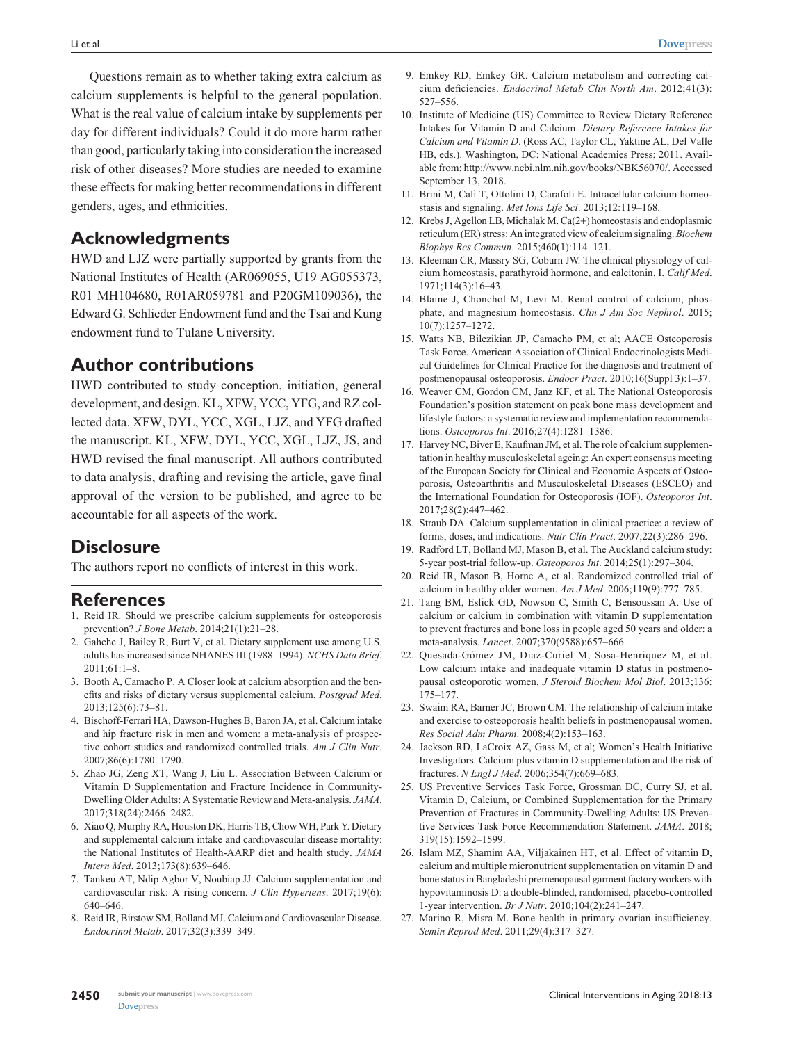Questions remain as to whether taking extra calcium as calcium supplements is helpful to the general population. What is the real value of calcium intake by supplements per day for different individuals? Could it do more harm rather than good, particularly taking into consideration the increased risk of other diseases? More studies are needed to examine these effects for making better recommendations in different genders, ages, and ethnicities.

# **Acknowledgments**

HWD and LJZ were partially supported by grants from the National Institutes of Health (AR069055, U19 AG055373, R01 MH104680, R01AR059781 and P20GM109036), the Edward G. Schlieder Endowment fund and the Tsai and Kung endowment fund to Tulane University.

# **Author contributions**

HWD contributed to study conception, initiation, general development, and design. KL, XFW, YCC, YFG, and RZ collected data. XFW, DYL, YCC, XGL, LJZ, and YFG drafted the manuscript. KL, XFW, DYL, YCC, XGL, LJZ, JS, and HWD revised the final manuscript. All authors contributed to data analysis, drafting and revising the article, gave final approval of the version to be published, and agree to be accountable for all aspects of the work.

# **Disclosure**

The authors report no conflicts of interest in this work.

# **References**

- 1. Reid IR. Should we prescribe calcium supplements for osteoporosis prevention? *J Bone Metab*. 2014;21(1):21–28.
- 2. Gahche J, Bailey R, Burt V, et al. Dietary supplement use among U.S. adults has increased since NHANES III (1988–1994). *NCHS Data Brief*. 2011;61:1–8.
- 3. Booth A, Camacho P. A Closer look at calcium absorption and the benefits and risks of dietary versus supplemental calcium. *Postgrad Med*. 2013;125(6):73–81.
- 4. Bischoff-Ferrari HA, Dawson-Hughes B, Baron JA, et al. Calcium intake and hip fracture risk in men and women: a meta-analysis of prospective cohort studies and randomized controlled trials. *Am J Clin Nutr*. 2007;86(6):1780–1790.
- 5. Zhao JG, Zeng XT, Wang J, Liu L. Association Between Calcium or Vitamin D Supplementation and Fracture Incidence in Community-Dwelling Older Adults: A Systematic Review and Meta-analysis. *JAMA*. 2017;318(24):2466–2482.
- 6. Xiao Q, Murphy RA, Houston DK, Harris TB, Chow WH, Park Y. Dietary and supplemental calcium intake and cardiovascular disease mortality: the National Institutes of Health-AARP diet and health study. *JAMA Intern Med*. 2013;173(8):639–646.
- 7. Tankeu AT, Ndip Agbor V, Noubiap JJ. Calcium supplementation and cardiovascular risk: A rising concern. *J Clin Hypertens*. 2017;19(6): 640–646.
- 8. Reid IR, Birstow SM, Bolland MJ. Calcium and Cardiovascular Disease. *Endocrinol Metab*. 2017;32(3):339–349.
- 9. Emkey RD, Emkey GR. Calcium metabolism and correcting calcium deficiencies. *Endocrinol Metab Clin North Am*. 2012;41(3): 527–556.
- 10. Institute of Medicine (US) Committee to Review Dietary Reference Intakes for Vitamin D and Calcium. *Dietary Reference Intakes for Calcium and Vitamin D*. (Ross AC, Taylor CL, Yaktine AL, Del Valle HB, eds.). Washington, DC: National Academies Press; 2011. Available from: [http://www.ncbi.nlm.nih.gov/books/NBK56070/.](http://www.ncbi.nlm.nih.gov/books/NBK56070/) Accessed September 13, 2018.
- 11. Brini M, Calì T, Ottolini D, Carafoli E. Intracellular calcium homeostasis and signaling. *Met Ions Life Sci*. 2013;12:119–168.
- 12. Krebs J, Agellon LB, Michalak M. Ca(2+) homeostasis and endoplasmic reticulum (ER) stress: An integrated view of calcium signaling. *Biochem Biophys Res Commun*. 2015;460(1):114–121.
- 13. Kleeman CR, Massry SG, Coburn JW. The clinical physiology of calcium homeostasis, parathyroid hormone, and calcitonin. I. *Calif Med*. 1971;114(3):16–43.
- 14. Blaine J, Chonchol M, Levi M. Renal control of calcium, phosphate, and magnesium homeostasis. *Clin J Am Soc Nephrol*. 2015; 10(7):1257–1272.
- 15. Watts NB, Bilezikian JP, Camacho PM, et al; AACE Osteoporosis Task Force. American Association of Clinical Endocrinologists Medical Guidelines for Clinical Practice for the diagnosis and treatment of postmenopausal osteoporosis. *Endocr Pract*. 2010;16(Suppl 3):1–37.
- 16. Weaver CM, Gordon CM, Janz KF, et al. The National Osteoporosis Foundation's position statement on peak bone mass development and lifestyle factors: a systematic review and implementation recommendations. *Osteoporos Int*. 2016;27(4):1281–1386.
- 17. Harvey NC, Biver E, Kaufman JM, et al. The role of calcium supplementation in healthy musculoskeletal ageing: An expert consensus meeting of the European Society for Clinical and Economic Aspects of Osteoporosis, Osteoarthritis and Musculoskeletal Diseases (ESCEO) and the International Foundation for Osteoporosis (IOF). *Osteoporos Int*. 2017;28(2):447–462.
- 18. Straub DA. Calcium supplementation in clinical practice: a review of forms, doses, and indications. *Nutr Clin Pract*. 2007;22(3):286–296.
- 19. Radford LT, Bolland MJ, Mason B, et al. The Auckland calcium study: 5-year post-trial follow-up. *Osteoporos Int*. 2014;25(1):297–304.
- 20. Reid IR, Mason B, Horne A, et al. Randomized controlled trial of calcium in healthy older women. *Am J Med*. 2006;119(9):777–785.
- 21. Tang BM, Eslick GD, Nowson C, Smith C, Bensoussan A. Use of calcium or calcium in combination with vitamin D supplementation to prevent fractures and bone loss in people aged 50 years and older: a meta-analysis. *Lancet*. 2007;370(9588):657–666.
- 22. Quesada-Gómez JM, Diaz-Curiel M, Sosa-Henriquez M, et al. Low calcium intake and inadequate vitamin D status in postmenopausal osteoporotic women. *J Steroid Biochem Mol Biol*. 2013;136: 175–177.
- 23. Swaim RA, Barner JC, Brown CM. The relationship of calcium intake and exercise to osteoporosis health beliefs in postmenopausal women. *Res Social Adm Pharm*. 2008;4(2):153–163.
- 24. Jackson RD, LaCroix AZ, Gass M, et al; Women's Health Initiative Investigators. Calcium plus vitamin D supplementation and the risk of fractures. *N Engl J Med*. 2006;354(7):669–683.
- 25. US Preventive Services Task Force, Grossman DC, Curry SJ, et al. Vitamin D, Calcium, or Combined Supplementation for the Primary Prevention of Fractures in Community-Dwelling Adults: US Preventive Services Task Force Recommendation Statement. *JAMA*. 2018; 319(15):1592–1599.
- 26. Islam MZ, Shamim AA, Viljakainen HT, et al. Effect of vitamin D, calcium and multiple micronutrient supplementation on vitamin D and bone status in Bangladeshi premenopausal garment factory workers with hypovitaminosis D: a double-blinded, randomised, placebo-controlled 1-year intervention. *Br J Nutr*. 2010;104(2):241–247.
- 27. Marino R, Misra M. Bone health in primary ovarian insufficiency. *Semin Reprod Med*. 2011;29(4):317–327.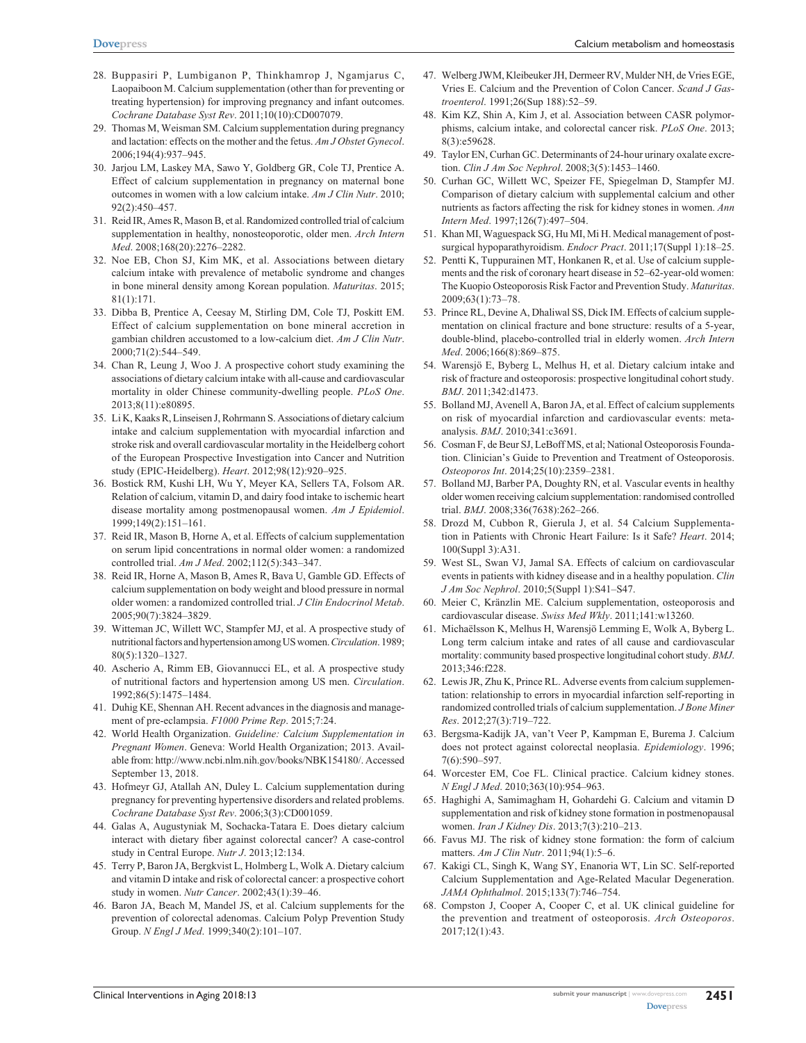- 28. Buppasiri P, Lumbiganon P, Thinkhamrop J, Ngamjarus C, Laopaiboon M. Calcium supplementation (other than for preventing or treating hypertension) for improving pregnancy and infant outcomes. *Cochrane Database Syst Rev*. 2011;10(10):CD007079.
- 29. Thomas M, Weisman SM. Calcium supplementation during pregnancy and lactation: effects on the mother and the fetus. *Am J Obstet Gynecol*. 2006;194(4):937–945.
- 30. Jarjou LM, Laskey MA, Sawo Y, Goldberg GR, Cole TJ, Prentice A. Effect of calcium supplementation in pregnancy on maternal bone outcomes in women with a low calcium intake. *Am J Clin Nutr*. 2010; 92(2):450–457.
- 31. Reid IR, Ames R, Mason B, et al. Randomized controlled trial of calcium supplementation in healthy, nonosteoporotic, older men. *Arch Intern Med*. 2008;168(20):2276–2282.
- 32. Noe EB, Chon SJ, Kim MK, et al. Associations between dietary calcium intake with prevalence of metabolic syndrome and changes in bone mineral density among Korean population. *Maturitas*. 2015; 81(1):171.
- 33. Dibba B, Prentice A, Ceesay M, Stirling DM, Cole TJ, Poskitt EM. Effect of calcium supplementation on bone mineral accretion in gambian children accustomed to a low-calcium diet. *Am J Clin Nutr*. 2000;71(2):544–549.
- 34. Chan R, Leung J, Woo J. A prospective cohort study examining the associations of dietary calcium intake with all-cause and cardiovascular mortality in older Chinese community-dwelling people. *PLoS One*. 2013;8(11):e80895.
- 35. Li K, Kaaks R, Linseisen J, Rohrmann S. Associations of dietary calcium intake and calcium supplementation with myocardial infarction and stroke risk and overall cardiovascular mortality in the Heidelberg cohort of the European Prospective Investigation into Cancer and Nutrition study (EPIC-Heidelberg). *Heart*. 2012;98(12):920–925.
- 36. Bostick RM, Kushi LH, Wu Y, Meyer KA, Sellers TA, Folsom AR. Relation of calcium, vitamin D, and dairy food intake to ischemic heart disease mortality among postmenopausal women. *Am J Epidemiol*. 1999;149(2):151–161.
- 37. Reid IR, Mason B, Horne A, et al. Effects of calcium supplementation on serum lipid concentrations in normal older women: a randomized controlled trial. *Am J Med*. 2002;112(5):343–347.
- 38. Reid IR, Horne A, Mason B, Ames R, Bava U, Gamble GD. Effects of calcium supplementation on body weight and blood pressure in normal older women: a randomized controlled trial. *J Clin Endocrinol Metab*. 2005;90(7):3824–3829.
- 39. Witteman JC, Willett WC, Stampfer MJ, et al. A prospective study of nutritional factors and hypertension among US women. *Circulation*. 1989; 80(5):1320–1327.
- 40. Ascherio A, Rimm EB, Giovannucci EL, et al. A prospective study of nutritional factors and hypertension among US men. *Circulation*. 1992;86(5):1475–1484.
- 41. Duhig KE, Shennan AH. Recent advances in the diagnosis and management of pre-eclampsia. *F1000 Prime Rep*. 2015;7:24.
- 42. World Health Organization. *Guideline: Calcium Supplementation in Pregnant Women*. Geneva: World Health Organization; 2013. Available from:<http://www.ncbi.nlm.nih.gov/books/NBK154180/>. Accessed September 13, 2018.
- 43. Hofmeyr GJ, Atallah AN, Duley L. Calcium supplementation during pregnancy for preventing hypertensive disorders and related problems. *Cochrane Database Syst Rev*. 2006;3(3):CD001059.
- 44. Galas A, Augustyniak M, Sochacka-Tatara E. Does dietary calcium interact with dietary fiber against colorectal cancer? A case-control study in Central Europe. *Nutr J*. 2013;12:134.
- 45. Terry P, Baron JA, Bergkvist L, Holmberg L, Wolk A. Dietary calcium and vitamin D intake and risk of colorectal cancer: a prospective cohort study in women. *Nutr Cancer*. 2002;43(1):39–46.
- 46. Baron JA, Beach M, Mandel JS, et al. Calcium supplements for the prevention of colorectal adenomas. Calcium Polyp Prevention Study Group. *N Engl J Med*. 1999;340(2):101–107.
- 47. Welberg JWM, Kleibeuker JH, Dermeer RV, Mulder NH, de Vries EGE, Vries E. Calcium and the Prevention of Colon Cancer. *Scand J Gastroenterol*. 1991;26(Sup 188):52–59.
- 48. Kim KZ, Shin A, Kim J, et al. Association between CASR polymorphisms, calcium intake, and colorectal cancer risk. *PLoS One*. 2013; 8(3):e59628.
- 49. Taylor EN, Curhan GC. Determinants of 24-hour urinary oxalate excretion. *Clin J Am Soc Nephrol*. 2008;3(5):1453–1460.
- 50. Curhan GC, Willett WC, Speizer FE, Spiegelman D, Stampfer MJ. Comparison of dietary calcium with supplemental calcium and other nutrients as factors affecting the risk for kidney stones in women. *Ann Intern Med*. 1997;126(7):497–504.
- 51. Khan MI, Waguespack SG, Hu MI, Mi H. Medical management of postsurgical hypoparathyroidism. *Endocr Pract*. 2011;17(Suppl 1):18–25.
- 52. Pentti K, Tuppurainen MT, Honkanen R, et al. Use of calcium supplements and the risk of coronary heart disease in 52–62-year-old women: The Kuopio Osteoporosis Risk Factor and Prevention Study. *Maturitas*. 2009;63(1):73–78.
- 53. Prince RL, Devine A, Dhaliwal SS, Dick IM. Effects of calcium supplementation on clinical fracture and bone structure: results of a 5-year, double-blind, placebo-controlled trial in elderly women. *Arch Intern Med*. 2006;166(8):869–875.
- 54. Warensjö E, Byberg L, Melhus H, et al. Dietary calcium intake and risk of fracture and osteoporosis: prospective longitudinal cohort study. *BMJ*. 2011;342:d1473.
- 55. Bolland MJ, Avenell A, Baron JA, et al. Effect of calcium supplements on risk of myocardial infarction and cardiovascular events: metaanalysis. *BMJ*. 2010;341:c3691.
- 56. Cosman F, de Beur SJ, LeBoff MS, et al; National Osteoporosis Foundation. Clinician's Guide to Prevention and Treatment of Osteoporosis. *Osteoporos Int*. 2014;25(10):2359–2381.
- 57. Bolland MJ, Barber PA, Doughty RN, et al. Vascular events in healthy older women receiving calcium supplementation: randomised controlled trial. *BMJ*. 2008;336(7638):262–266.
- 58. Drozd M, Cubbon R, Gierula J, et al. 54 Calcium Supplementation in Patients with Chronic Heart Failure: Is it Safe? *Heart*. 2014; 100(Suppl 3):A31.
- West SL, Swan VJ, Jamal SA. Effects of calcium on cardiovascular events in patients with kidney disease and in a healthy population. *Clin J Am Soc Nephrol*. 2010;5(Suppl 1):S41–S47.
- 60. Meier C, Kränzlin ME. Calcium supplementation, osteoporosis and cardiovascular disease. *Swiss Med Wkly*. 2011;141:w13260.
- 61. Michaëlsson K, Melhus H, Warensjö Lemming E, Wolk A, Byberg L. Long term calcium intake and rates of all cause and cardiovascular mortality: community based prospective longitudinal cohort study. *BMJ*. 2013;346:f228.
- 62. Lewis JR, Zhu K, Prince RL. Adverse events from calcium supplementation: relationship to errors in myocardial infarction self-reporting in randomized controlled trials of calcium supplementation. *J Bone Miner Res*. 2012;27(3):719–722.
- 63. Bergsma-Kadijk JA, van't Veer P, Kampman E, Burema J. Calcium does not protect against colorectal neoplasia. *Epidemiology*. 1996; 7(6):590–597.
- 64. Worcester EM, Coe FL. Clinical practice. Calcium kidney stones. *N Engl J Med*. 2010;363(10):954–963.
- 65. Haghighi A, Samimagham H, Gohardehi G. Calcium and vitamin D supplementation and risk of kidney stone formation in postmenopausal women. *Iran J Kidney Dis*. 2013;7(3):210–213.
- 66. Favus MJ. The risk of kidney stone formation: the form of calcium matters. *Am J Clin Nutr*. 2011;94(1):5–6.
- 67. Kakigi CL, Singh K, Wang SY, Enanoria WT, Lin SC. Self-reported Calcium Supplementation and Age-Related Macular Degeneration. *JAMA Ophthalmol*. 2015;133(7):746–754.
- 68. Compston J, Cooper A, Cooper C, et al. UK clinical guideline for the prevention and treatment of osteoporosis. *Arch Osteoporos*. 2017;12(1):43.